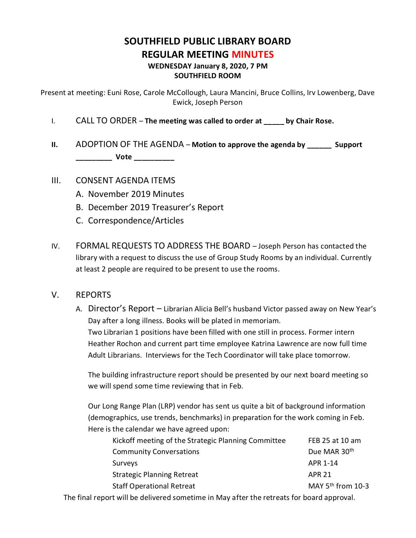# **SOUTHFIELD PUBLIC LIBRARY BOARD REGULAR MEETING MINUTES WEDNESDAY January 8, 2020, 7 PM**

#### **SOUTHFIELD ROOM**

Present at meeting: Euni Rose, Carole McCollough, Laura Mancini, Bruce Collins, Irv Lowenberg, Dave Ewick, Joseph Person

- I. CALL TO ORDER **The meeting was called to order at \_\_\_\_\_ by Chair Rose.**
- **II.** ADOPTION OF THE AGENDA **Motion to approve the agenda by \_\_\_\_\_\_ Support \_\_\_\_\_\_\_\_\_ Vote \_\_\_\_\_\_\_\_\_\_**
- III. CONSENT AGENDA ITEMS
	- A. November 2019 Minutes
	- B. December 2019 Treasurer's Report
	- C. Correspondence/Articles
- IV. FORMAL REQUESTS TO ADDRESS THE BOARD Joseph Person has contacted the library with a request to discuss the use of Group Study Rooms by an individual. Currently at least 2 people are required to be present to use the rooms.

### V. REPORTS

A. Director's Report – Librarian Alicia Bell's husband Victor passed away on New Year's Day after a long illness. Books will be plated in memoriam. Two Librarian 1 positions have been filled with one still in process. Former intern Heather Rochon and current part time employee Katrina Lawrence are now full time Adult Librarians. Interviews for the Tech Coordinator will take place tomorrow.

The building infrastructure report should be presented by our next board meeting so we will spend some time reviewing that in Feb.

Our Long Range Plan (LRP) vendor has sent us quite a bit of background information (demographics, use trends, benchmarks) in preparation for the work coming in Feb. Here is the calendar we have agreed upon:

| Kickoff meeting of the Strategic Planning Committee | FEB 25 at 10 am        |
|-----------------------------------------------------|------------------------|
| <b>Community Conversations</b>                      | Due MAR 30th           |
| Surveys                                             | APR 1-14               |
| <b>Strategic Planning Retreat</b>                   | <b>APR 21</b>          |
| <b>Staff Operational Retreat</b>                    | MAY $5^{th}$ from 10-3 |

The final report will be delivered sometime in May after the retreats for board approval.